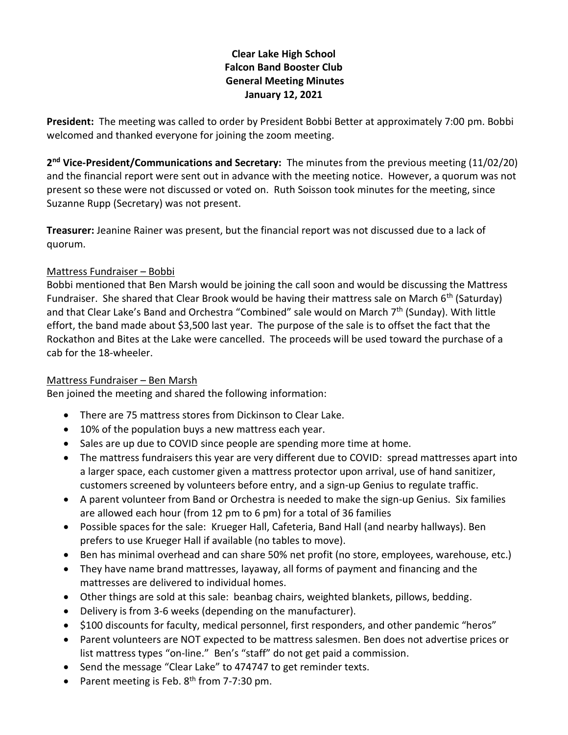# **Clear Lake High School Falcon Band Booster Club General Meeting Minutes January 12, 2021**

**President:** The meeting was called to order by President Bobbi Better at approximately 7:00 pm. Bobbi welcomed and thanked everyone for joining the zoom meeting.

**2 nd Vice-President/Communications and Secretary:** The minutes from the previous meeting (11/02/20) and the financial report were sent out in advance with the meeting notice. However, a quorum was not present so these were not discussed or voted on. Ruth Soisson took minutes for the meeting, since Suzanne Rupp (Secretary) was not present.

**Treasurer:** Jeanine Rainer was present, but the financial report was not discussed due to a lack of quorum.

## Mattress Fundraiser – Bobbi

Bobbi mentioned that Ben Marsh would be joining the call soon and would be discussing the Mattress Fundraiser. She shared that Clear Brook would be having their mattress sale on March  $6<sup>th</sup>$  (Saturday) and that Clear Lake's Band and Orchestra "Combined" sale would on March  $7<sup>th</sup>$  (Sunday). With little effort, the band made about \$3,500 last year. The purpose of the sale is to offset the fact that the Rockathon and Bites at the Lake were cancelled. The proceeds will be used toward the purchase of a cab for the 18-wheeler.

### Mattress Fundraiser – Ben Marsh

Ben joined the meeting and shared the following information:

- There are 75 mattress stores from Dickinson to Clear Lake.
- 10% of the population buys a new mattress each year.
- Sales are up due to COVID since people are spending more time at home.
- The mattress fundraisers this year are very different due to COVID: spread mattresses apart into a larger space, each customer given a mattress protector upon arrival, use of hand sanitizer, customers screened by volunteers before entry, and a sign-up Genius to regulate traffic.
- A parent volunteer from Band or Orchestra is needed to make the sign-up Genius. Six families are allowed each hour (from 12 pm to 6 pm) for a total of 36 families
- Possible spaces for the sale: Krueger Hall, Cafeteria, Band Hall (and nearby hallways). Ben prefers to use Krueger Hall if available (no tables to move).
- Ben has minimal overhead and can share 50% net profit (no store, employees, warehouse, etc.)
- They have name brand mattresses, layaway, all forms of payment and financing and the mattresses are delivered to individual homes.
- Other things are sold at this sale: beanbag chairs, weighted blankets, pillows, bedding.
- Delivery is from 3-6 weeks (depending on the manufacturer).
- \$100 discounts for faculty, medical personnel, first responders, and other pandemic "heros"
- Parent volunteers are NOT expected to be mattress salesmen. Ben does not advertise prices or list mattress types "on-line." Ben's "staff" do not get paid a commission.
- Send the message "Clear Lake" to 474747 to get reminder texts.
- Parent meeting is Feb.  $8<sup>th</sup>$  from 7-7:30 pm.